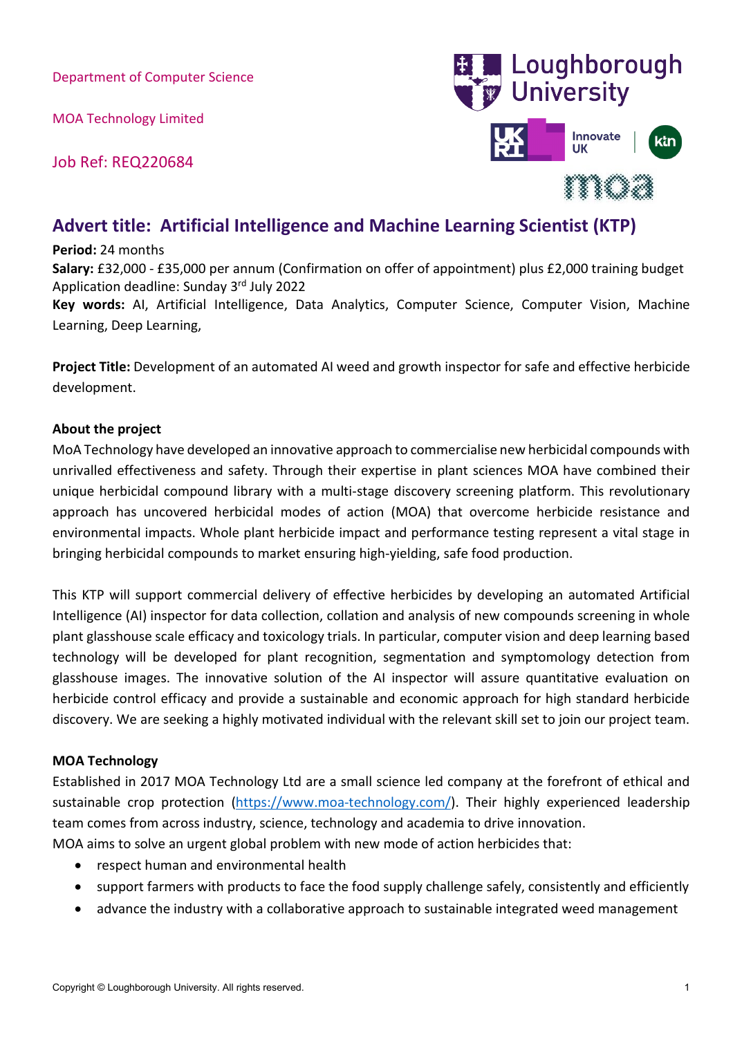MOA Technology Limited

Job Ref: REQ220684



# **Advert title: Artificial Intelligence and Machine Learning Scientist (KTP)**

# **Period:** 24 months

**Salary:** £32,000 - £35,000 per annum (Confirmation on offer of appointment) plus £2,000 training budget Application deadline: Sunday 3rd July 2022 **Key words:** AI, Artificial Intelligence, Data Analytics, Computer Science, Computer Vision, Machine Learning, Deep Learning,

**Project Title:** Development of an automated AI weed and growth inspector for safe and effective herbicide development.

# **About the project**

MoA Technology have developed an innovative approach to commercialise new herbicidal compounds with unrivalled effectiveness and safety. Through their expertise in plant sciences MOA have combined their unique herbicidal compound library with a multi-stage discovery screening platform. This revolutionary approach has uncovered herbicidal modes of action (MOA) that overcome herbicide resistance and environmental impacts. Whole plant herbicide impact and performance testing represent a vital stage in bringing herbicidal compounds to market ensuring high-yielding, safe food production.

This KTP will support commercial delivery of effective herbicides by developing an automated Artificial Intelligence (AI) inspector for data collection, collation and analysis of new compounds screening in whole plant glasshouse scale efficacy and toxicology trials. In particular, computer vision and deep learning based technology will be developed for plant recognition, segmentation and symptomology detection from glasshouse images. The innovative solution of the AI inspector will assure quantitative evaluation on herbicide control efficacy and provide a sustainable and economic approach for high standard herbicide discovery. We are seeking a highly motivated individual with the relevant skill set to join our project team.

# **MOA Technology**

Established in 2017 MOA Technology Ltd are a small science led company at the forefront of ethical and sustainable crop protection [\(https://www.moa-technology.com/\)](https://www.moa-technology.com/). Their highly experienced leadership team comes from across industry, science, technology and academia to drive innovation.

MOA aims to solve an urgent global problem with new mode of action herbicides that:

- respect human and environmental health
- support farmers with products to face the food supply challenge safely, consistently and efficiently
- advance the industry with a collaborative approach to sustainable integrated weed management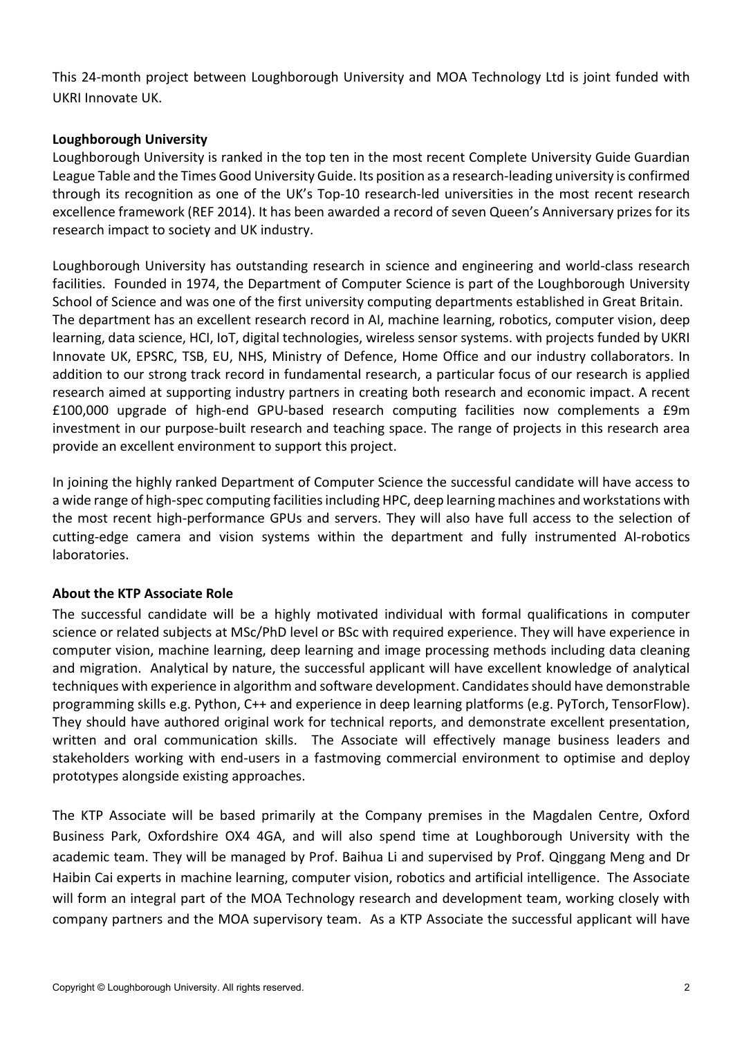This 24-month project between Loughborough University and MOA Technology Ltd is joint funded with UKRI Innovate UK.

# **Loughborough University**

Loughborough University is ranked in the top ten in the most recent Complete University Guide Guardian League Table and the Times Good University Guide. Its position as a research-leading university is confirmed through its recognition as one of the UK's Top-10 research-led universities in the most recent research excellence framework (REF 2014). It has been awarded a record of seven Queen's Anniversary prizes for its research impact to society and UK industry.

Loughborough University has outstanding research in science and engineering and world-class research facilities. Founded in 1974, the Department of Computer Science is part of the Loughborough University School of Science and was one of the first university computing departments established in Great Britain. The department has an excellent research record in AI, machine learning, robotics, computer vision, deep learning, data science, HCI, IoT, digital technologies, wireless sensor systems. with projects funded by UKRI Innovate UK, EPSRC, TSB, EU, NHS, Ministry of Defence, Home Office and our industry collaborators. In addition to our strong track record in fundamental research, a particular focus of our research is applied research aimed at supporting industry partners in creating both research and economic impact. A recent £100,000 upgrade of high-end GPU-based research computing facilities now complements a £9m investment in our purpose-built research and teaching space. The range of projects in this research area provide an excellent environment to support this project.

In joining the highly ranked Department of Computer Science the successful candidate will have access to a wide range of high-spec computing facilities including HPC, deep learning machines and workstations with the most recent high-performance GPUs and servers. They will also have full access to the selection of cutting-edge camera and vision systems within the department and fully instrumented AI-robotics laboratories.

# **About the KTP Associate Role**

The successful candidate will be a highly motivated individual with formal qualifications in computer science or related subjects at MSc/PhD level or BSc with required experience. They will have experience in computer vision, machine learning, deep learning and image processing methods including data cleaning and migration. Analytical by nature, the successful applicant will have excellent knowledge of analytical techniques with experience in algorithm and software development. Candidates should have demonstrable programming skills e.g. Python, C++ and experience in deep learning platforms (e.g. PyTorch, TensorFlow). They should have authored original work for technical reports, and demonstrate excellent presentation, written and oral communication skills. The Associate will effectively manage business leaders and stakeholders working with end-users in a fastmoving commercial environment to optimise and deploy prototypes alongside existing approaches.

The KTP Associate will be based primarily at the Company premises in the Magdalen Centre, Oxford Business Park, Oxfordshire OX4 4GA, and will also spend time at Loughborough University with the academic team. They will be managed by Prof. Baihua Li and supervised by Prof. Qinggang Meng and Dr Haibin Cai experts in machine learning, computer vision, robotics and artificial intelligence. The Associate will form an integral part of the MOA Technology research and development team, working closely with company partners and the MOA supervisory team. As a KTP Associate the successful applicant will have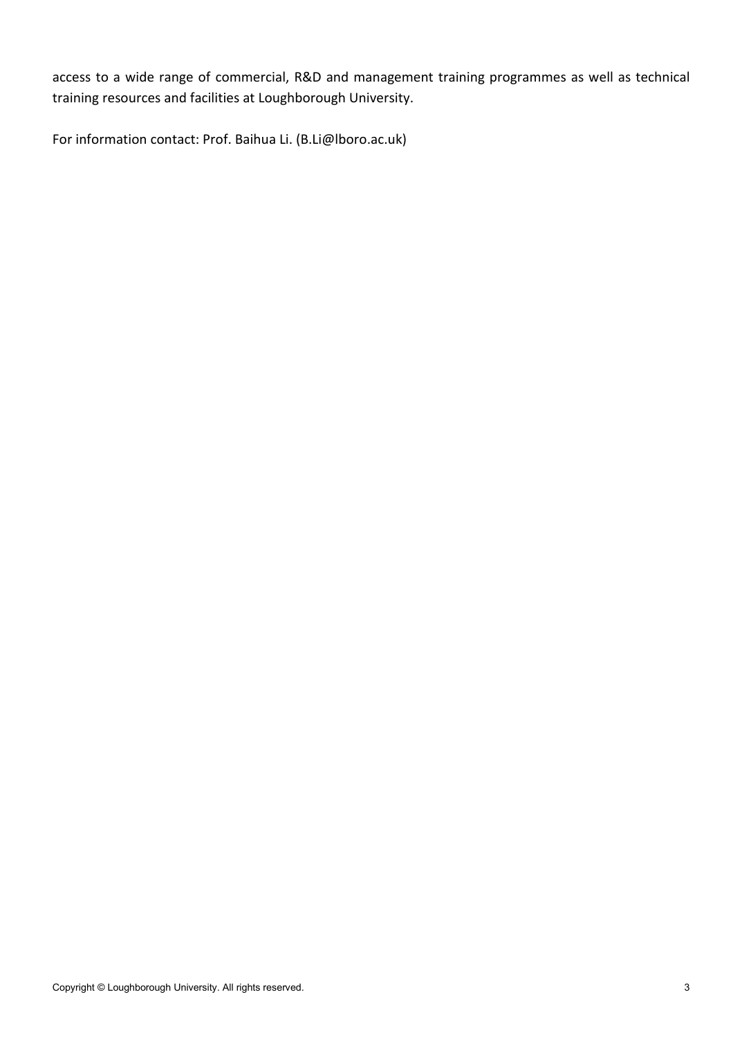access to a wide range of commercial, R&D and management training programmes as well as technical training resources and facilities at Loughborough University.

For information contact: Prof. Baihua Li. (B.Li@lboro.ac.uk)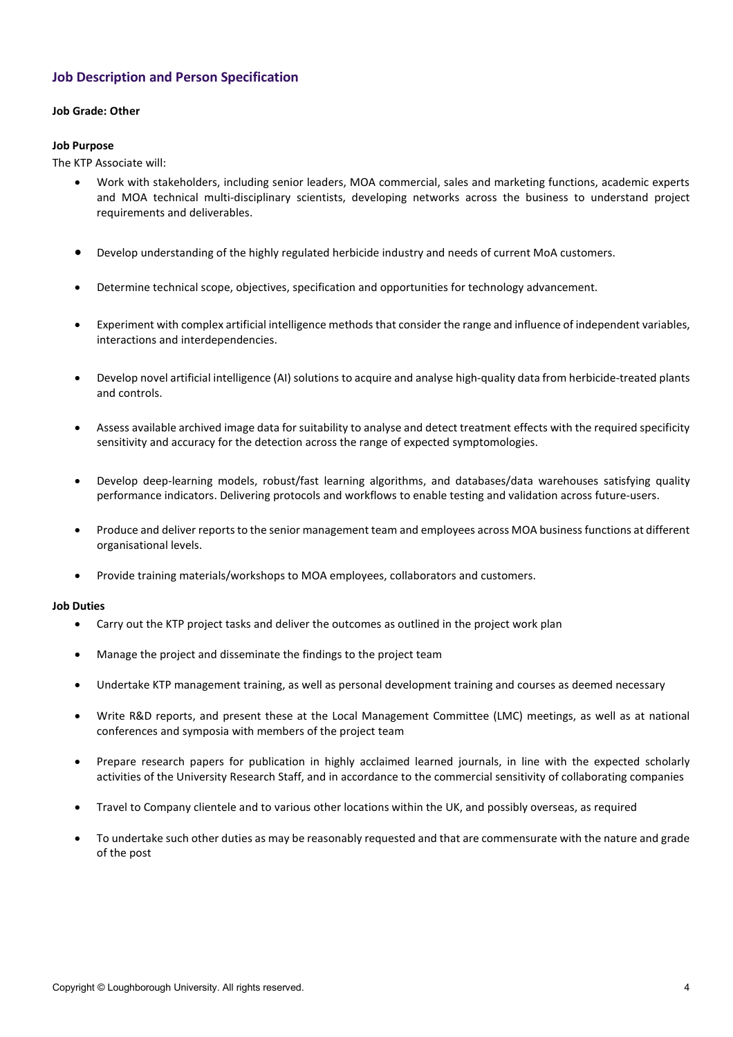# **Job Description and Person Specification**

### **Job Grade: Other**

### **Job Purpose**

The KTP Associate will:

- Work with stakeholders, including senior leaders, MOA commercial, sales and marketing functions, academic experts and MOA technical multi-disciplinary scientists, developing networks across the business to understand project requirements and deliverables.
- Develop understanding of the highly regulated herbicide industry and needs of current MoA customers.
- Determine technical scope, objectives, specification and opportunities for technology advancement.
- Experiment with complex artificial intelligence methods that consider the range and influence of independent variables, interactions and interdependencies.
- Develop novel artificial intelligence (AI) solutions to acquire and analyse high-quality data from herbicide-treated plants and controls.
- Assess available archived image data for suitability to analyse and detect treatment effects with the required specificity sensitivity and accuracy for the detection across the range of expected symptomologies.
- Develop deep-learning models, robust/fast learning algorithms, and databases/data warehouses satisfying quality performance indicators. Delivering protocols and workflows to enable testing and validation across future-users.
- Produce and deliver reports to the senior management team and employees across MOA business functions at different organisational levels.
- Provide training materials/workshops to MOA employees, collaborators and customers.

#### **Job Duties**

- Carry out the KTP project tasks and deliver the outcomes as outlined in the project work plan
- Manage the project and disseminate the findings to the project team
- Undertake KTP management training, as well as personal development training and courses as deemed necessary
- Write R&D reports, and present these at the Local Management Committee (LMC) meetings, as well as at national conferences and symposia with members of the project team
- Prepare research papers for publication in highly acclaimed learned journals, in line with the expected scholarly activities of the University Research Staff, and in accordance to the commercial sensitivity of collaborating companies
- Travel to Company clientele and to various other locations within the UK, and possibly overseas, as required
- To undertake such other duties as may be reasonably requested and that are commensurate with the nature and grade of the post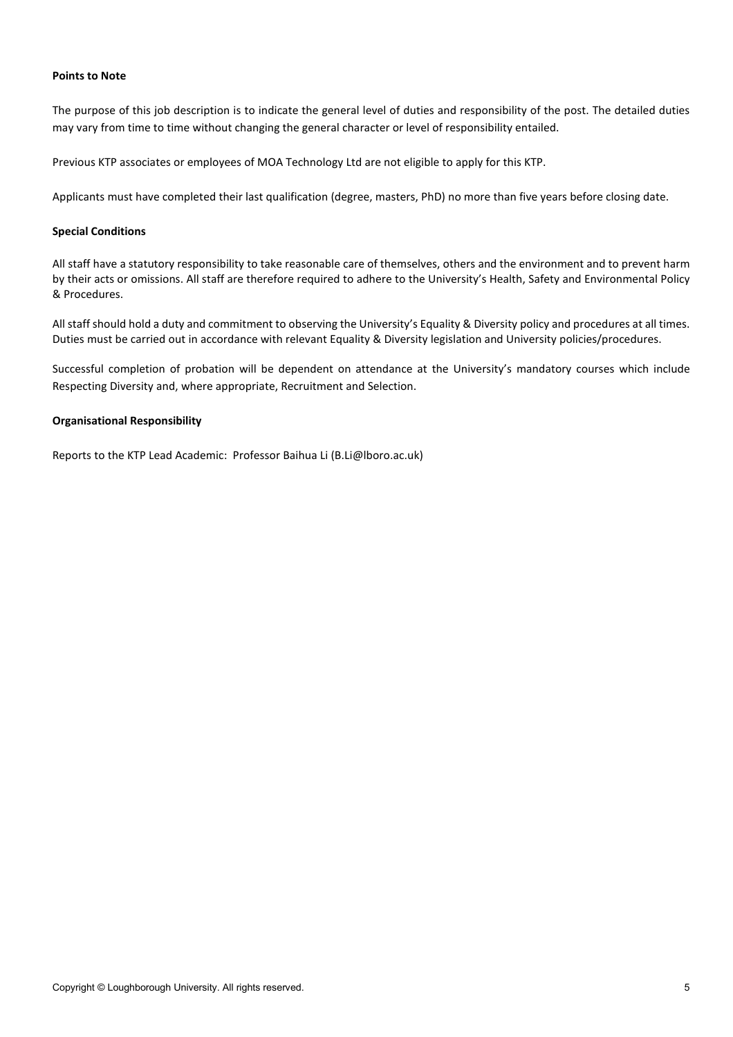### **Points to Note**

The purpose of this job description is to indicate the general level of duties and responsibility of the post. The detailed duties may vary from time to time without changing the general character or level of responsibility entailed.

Previous KTP associates or employees of MOA Technology Ltd are not eligible to apply for this KTP.

Applicants must have completed their last qualification (degree, masters, PhD) no more than five years before closing date.

#### **Special Conditions**

All staff have a statutory responsibility to take reasonable care of themselves, others and the environment and to prevent harm by their acts or omissions. All staff are therefore required to adhere to the University's Health, Safety and Environmental Policy & Procedures.

All staff should hold a duty and commitment to observing the University's Equality & Diversity policy and procedures at all times. Duties must be carried out in accordance with relevant Equality & Diversity legislation and University policies/procedures.

Successful completion of probation will be dependent on attendance at the University's mandatory courses which include Respecting Diversity and, where appropriate, Recruitment and Selection.

### **Organisational Responsibility**

Reports to the KTP Lead Academic: Professor Baihua Li (B.Li@lboro.ac.uk)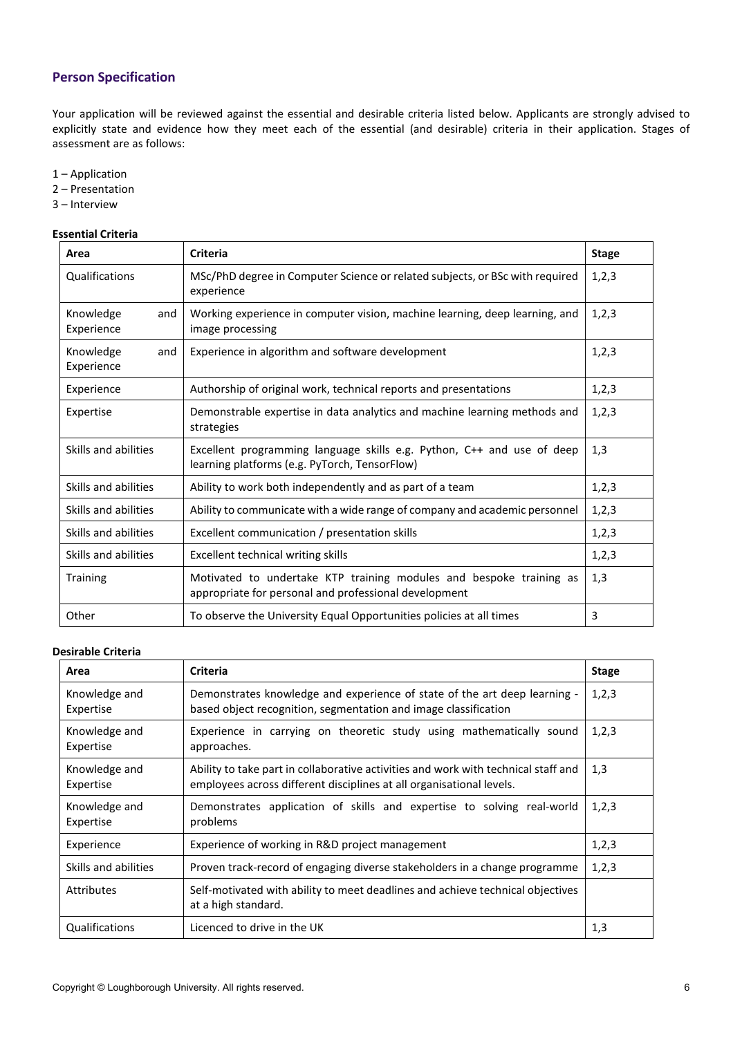# **Person Specification**

Your application will be reviewed against the essential and desirable criteria listed below. Applicants are strongly advised to explicitly state and evidence how they meet each of the essential (and desirable) criteria in their application. Stages of assessment are as follows:

- 1 Application
- 2 Presentation
- 3 Interview

### **Essential Criteria**

| Area                           | <b>Criteria</b>                                                                                                              | <b>Stage</b> |
|--------------------------------|------------------------------------------------------------------------------------------------------------------------------|--------------|
| Qualifications                 | MSc/PhD degree in Computer Science or related subjects, or BSc with required<br>experience                                   | 1,2,3        |
| Knowledge<br>and<br>Experience | Working experience in computer vision, machine learning, deep learning, and<br>image processing                              | 1,2,3        |
| Knowledge<br>and<br>Experience | Experience in algorithm and software development                                                                             | 1,2,3        |
| Experience                     | Authorship of original work, technical reports and presentations                                                             | 1,2,3        |
| Expertise                      | Demonstrable expertise in data analytics and machine learning methods and<br>strategies                                      | 1,2,3        |
| Skills and abilities           | Excellent programming language skills e.g. Python, C++ and use of deep<br>learning platforms (e.g. PyTorch, TensorFlow)      | 1,3          |
| Skills and abilities           | Ability to work both independently and as part of a team                                                                     | 1, 2, 3      |
| Skills and abilities           | Ability to communicate with a wide range of company and academic personnel                                                   | 1, 2, 3      |
| Skills and abilities           | Excellent communication / presentation skills                                                                                | 1,2,3        |
| Skills and abilities           | Excellent technical writing skills                                                                                           | 1, 2, 3      |
| <b>Training</b>                | Motivated to undertake KTP training modules and bespoke training as<br>appropriate for personal and professional development | 1,3          |
| Other                          | To observe the University Equal Opportunities policies at all times                                                          | 3            |

### **Desirable Criteria**

| Area                       | <b>Criteria</b>                                                                                                                                            | <b>Stage</b> |
|----------------------------|------------------------------------------------------------------------------------------------------------------------------------------------------------|--------------|
| Knowledge and<br>Expertise | Demonstrates knowledge and experience of state of the art deep learning -<br>based object recognition, segmentation and image classification               | 1,2,3        |
| Knowledge and<br>Expertise | Experience in carrying on theoretic study using mathematically sound<br>approaches.                                                                        | 1,2,3        |
| Knowledge and<br>Expertise | Ability to take part in collaborative activities and work with technical staff and<br>employees across different disciplines at all organisational levels. | 1,3          |
| Knowledge and<br>Expertise | Demonstrates application of skills and expertise to solving real-world<br>problems                                                                         | 1,2,3        |
| Experience                 | Experience of working in R&D project management                                                                                                            | 1,2,3        |
| Skills and abilities       | Proven track-record of engaging diverse stakeholders in a change programme                                                                                 | 1,2,3        |
| Attributes                 | Self-motivated with ability to meet deadlines and achieve technical objectives<br>at a high standard.                                                      |              |
| Qualifications             | Licenced to drive in the UK                                                                                                                                | 1,3          |